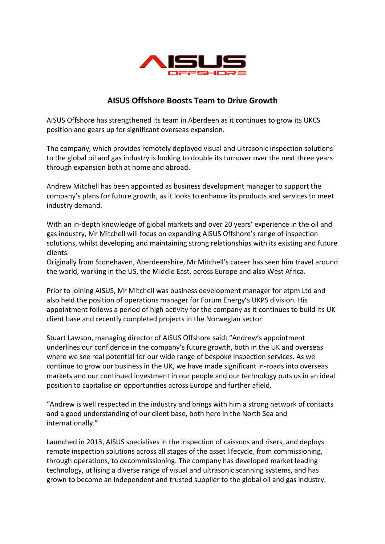

## AISUS Offshore Boosts Team to Drive Growth

AISUS Offshore has strengthened its team in Aberdeen as it continues to grow its UKCS position and gears up for significant overseas expansion.

The company, which provides remotely deployed visual and ultrasonic inspection solutions to the global oil and gas industry is looking to double its turnover over the next three years through expansion both at home and abroad.

Andrew Mitchell has been appointed as business development manager to support the company's plans for future growth, as it looks to enhance its products and services to meet industry demand.

With an in-depth knowledge of global markets and over 20 years' experience in the oil and gas industry, Mr Mitchell will focus on expanding AISUS Offshore's range of inspection solutions, whilst developing and maintaining strong relationships with its existing and future clients.

Originally from Stonehaven, Aberdeenshire, Mr Mitchell's career has seen him travel around the world, working in the US, the Middle East, across Europe and also West Africa.

Prior to joining AISUS, Mr Mitchell was business development manager for etpm Ltd and also held the position of operations manager for Forum Energy's UKPS division. His appointment follows a period of high activity for the company as it continues to build its UK client base and recently completed projects in the Norwegian sector.

Stuart Lawson, managing director of AISUS Offshore said: "Andrew's appointment underlines our confidence in the company's future growth, both in the UK and overseas where we see real potential for our wide range of bespoke inspection services. As we continue to grow our business in the UK, we have made significant in-roads into overseas markets and our continued investment in our people and our technology puts us in an ideal position to capitalise on opportunities across Europe and further afield.

"Andrew is well respected in the industry and brings with him a strong network of contacts and a good understanding of our client base, both here in the North Sea and internationally."

Launched in 2013, AISUS specialises in the inspection of caissons and risers, and deploys remote inspection solutions across all stages of the asset lifecycle, from commissioning, through operations, to decommissioning. The company has developed market leading technology, utilising a diverse range of visual and ultrasonic scanning systems, and has grown to become an independent and trusted supplier to the global oil and gas industry.